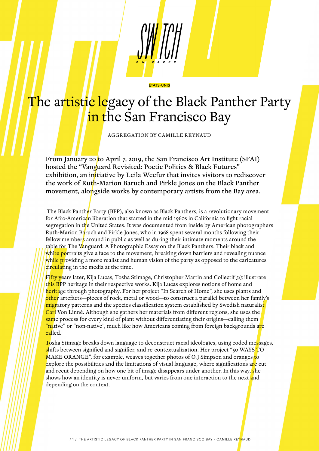## The artistic legacy of the Black Panther Party in the San Francisco Bay

ÉTATS-UNIS

AGGREGATION BY CAMILLE REYNAUD

From January 20 to April 7, 2019, the San Francisco Art Institute (SFAI) hosted the "Vanguard Revisited: Poetic Politics & Black Futures" exhibition, an initiative by Leila Weefur that invites visitors to rediscover the work of Ruth-Marion Baruch and Pirkle Jones on the Black Panther movement, alongside works by contemporary artists from the Bay area.

The Black Panther Party (BPP), also known as Black Panthers, is a revolutionary movement for Afro-American liberation that started in the mid 1960s in California to fight racial segregation in the United States. It was documented from inside by American photographers Ruth-Marion Baruch and Pirkle Jones, who in 1968 spent several months following their fellow members around in public as well as during their intimate moments around the table for The Vanguard: A Photographic Essay on the Black Panthers. Their black and white portraits give a face to the movement, breaking down barriers and revealing nuance while providing a more realist and human vision of the party as opposed to the caricatures circulating in the media at the time.

Fifty years later, Kija Lucas, Tosha Stimage, Christopher Martin and Collectif 5/5 illustrate this BPP heritage in their respective works. Kija Lucas explores notions of home and heritage through photography. For her project "In Search of Home", she uses plants and other artefacts—pieces of rock, metal or wood—to construct a parallel between her family's <mark>migr</mark>atory patterns and the species classification system established by Swedish naturalis<mark>t</mark> Carl Von Linné. Although she gathers her materials from different regions, she uses the same process for every kind of plant without differentiating their origins—calling them "native" or "non-native", much like how Americans coming from foreign backgrounds are called.

Tosha Stimage breaks down language to deconstruct racial ideologies, using coded messages, shifts between signified and signifier, and re-contextualization. Her project "50 WAYS TO MAKE ORANGE", for example, weaves together photos of O.J Simpson and oranges to explore the possibilities and the limitations of visual language, where significations are cut and recut depending on how one bit of image disappears under another. In this way, she shows how an identity is never uniform, but varies from one interaction to the next and depending on the context.